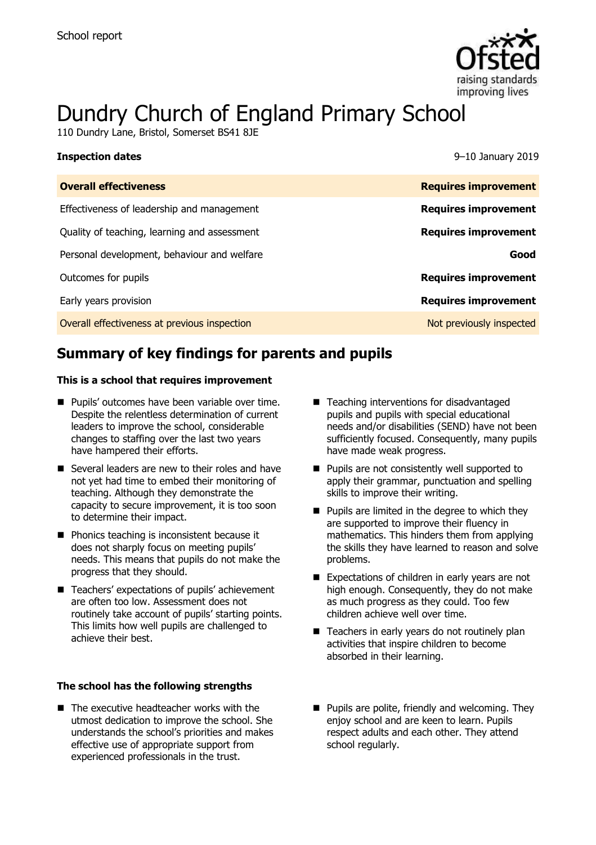

# Dundry Church of England Primary School

110 Dundry Lane, Bristol, Somerset BS41 8JE

| <b>Inspection dates</b>                      | 9–10 January 2019           |
|----------------------------------------------|-----------------------------|
| <b>Overall effectiveness</b>                 | <b>Requires improvement</b> |
| Effectiveness of leadership and management   | <b>Requires improvement</b> |
| Quality of teaching, learning and assessment | <b>Requires improvement</b> |
| Personal development, behaviour and welfare  | Good                        |
| Outcomes for pupils                          | <b>Requires improvement</b> |
| Early years provision                        | <b>Requires improvement</b> |
| Overall effectiveness at previous inspection | Not previously inspected    |

# **Summary of key findings for parents and pupils**

#### **This is a school that requires improvement**

- **Pupils' outcomes have been variable over time.** Despite the relentless determination of current leaders to improve the school, considerable changes to staffing over the last two years have hampered their efforts.
- Several leaders are new to their roles and have not yet had time to embed their monitoring of teaching. Although they demonstrate the capacity to secure improvement, it is too soon to determine their impact.
- **Phonics teaching is inconsistent because it** does not sharply focus on meeting pupils' needs. This means that pupils do not make the progress that they should.
- Teachers' expectations of pupils' achievement are often too low. Assessment does not routinely take account of pupils' starting points. This limits how well pupils are challenged to achieve their best.

#### **The school has the following strengths**

■ The executive headteacher works with the utmost dedication to improve the school. She understands the school's priorities and makes effective use of appropriate support from experienced professionals in the trust.

- Teaching interventions for disadvantaged pupils and pupils with special educational needs and/or disabilities (SEND) have not been sufficiently focused. Consequently, many pupils have made weak progress.
- **Pupils are not consistently well supported to** apply their grammar, punctuation and spelling skills to improve their writing.
- $\blacksquare$  Pupils are limited in the degree to which they are supported to improve their fluency in mathematics. This hinders them from applying the skills they have learned to reason and solve problems.
- Expectations of children in early years are not high enough. Consequently, they do not make as much progress as they could. Too few children achieve well over time.
- Teachers in early years do not routinely plan activities that inspire children to become absorbed in their learning.
- **Pupils are polite, friendly and welcoming. They** enjoy school and are keen to learn. Pupils respect adults and each other. They attend school regularly.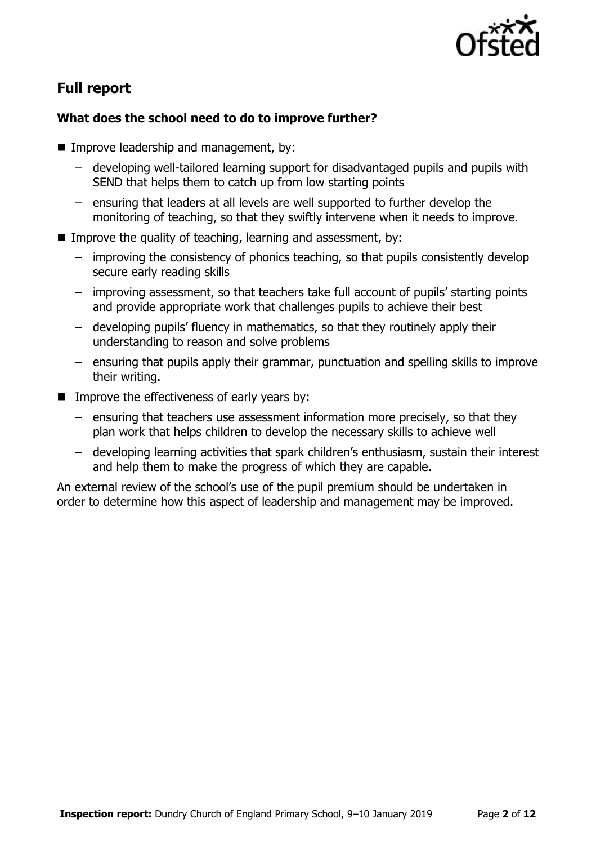

# **Full report**

### **What does the school need to do to improve further?**

- **IMPROPE Improve leadership and management, by:** 
	- developing well-tailored learning support for disadvantaged pupils and pupils with SEND that helps them to catch up from low starting points
	- ensuring that leaders at all levels are well supported to further develop the monitoring of teaching, so that they swiftly intervene when it needs to improve.
- Improve the quality of teaching, learning and assessment, by:
	- improving the consistency of phonics teaching, so that pupils consistently develop secure early reading skills
	- improving assessment, so that teachers take full account of pupils' starting points and provide appropriate work that challenges pupils to achieve their best
	- developing pupils' fluency in mathematics, so that they routinely apply their understanding to reason and solve problems
	- ensuring that pupils apply their grammar, punctuation and spelling skills to improve their writing.
- $\blacksquare$  Improve the effectiveness of early years by:
	- ensuring that teachers use assessment information more precisely, so that they plan work that helps children to develop the necessary skills to achieve well
	- developing learning activities that spark children's enthusiasm, sustain their interest and help them to make the progress of which they are capable.

An external review of the school's use of the pupil premium should be undertaken in order to determine how this aspect of leadership and management may be improved.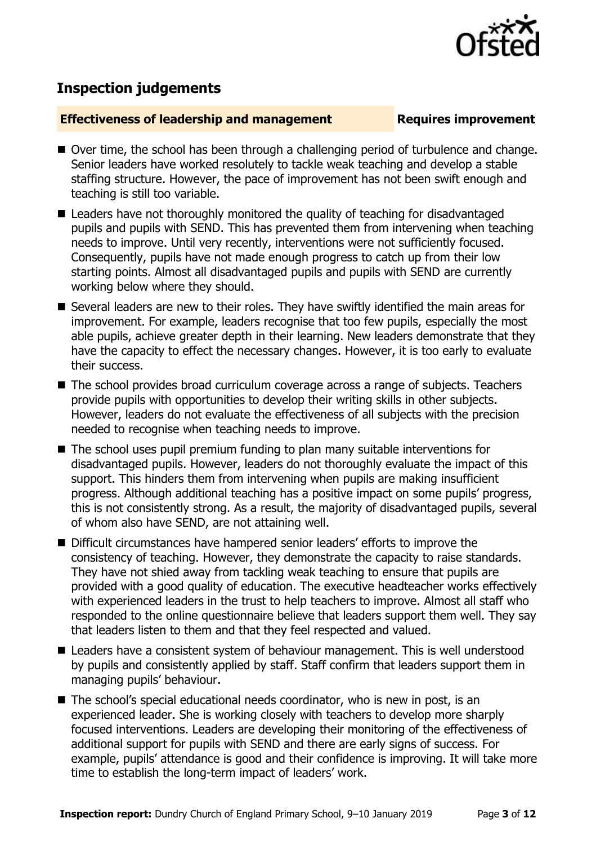

# **Inspection judgements**

#### **Effectiveness of leadership and management Requires improvement**

- Over time, the school has been through a challenging period of turbulence and change. Senior leaders have worked resolutely to tackle weak teaching and develop a stable staffing structure. However, the pace of improvement has not been swift enough and teaching is still too variable.
- Leaders have not thoroughly monitored the quality of teaching for disadvantaged pupils and pupils with SEND. This has prevented them from intervening when teaching needs to improve. Until very recently, interventions were not sufficiently focused. Consequently, pupils have not made enough progress to catch up from their low starting points. Almost all disadvantaged pupils and pupils with SEND are currently working below where they should.
- Several leaders are new to their roles. They have swiftly identified the main areas for improvement. For example, leaders recognise that too few pupils, especially the most able pupils, achieve greater depth in their learning. New leaders demonstrate that they have the capacity to effect the necessary changes. However, it is too early to evaluate their success.
- The school provides broad curriculum coverage across a range of subjects. Teachers provide pupils with opportunities to develop their writing skills in other subjects. However, leaders do not evaluate the effectiveness of all subjects with the precision needed to recognise when teaching needs to improve.
- The school uses pupil premium funding to plan many suitable interventions for disadvantaged pupils. However, leaders do not thoroughly evaluate the impact of this support. This hinders them from intervening when pupils are making insufficient progress. Although additional teaching has a positive impact on some pupils' progress, this is not consistently strong. As a result, the majority of disadvantaged pupils, several of whom also have SEND, are not attaining well.
- Difficult circumstances have hampered senior leaders' efforts to improve the consistency of teaching. However, they demonstrate the capacity to raise standards. They have not shied away from tackling weak teaching to ensure that pupils are provided with a good quality of education. The executive headteacher works effectively with experienced leaders in the trust to help teachers to improve. Almost all staff who responded to the online questionnaire believe that leaders support them well. They say that leaders listen to them and that they feel respected and valued.
- Leaders have a consistent system of behaviour management. This is well understood by pupils and consistently applied by staff. Staff confirm that leaders support them in managing pupils' behaviour.
- The school's special educational needs coordinator, who is new in post, is an experienced leader. She is working closely with teachers to develop more sharply focused interventions. Leaders are developing their monitoring of the effectiveness of additional support for pupils with SEND and there are early signs of success. For example, pupils' attendance is good and their confidence is improving. It will take more time to establish the long-term impact of leaders' work.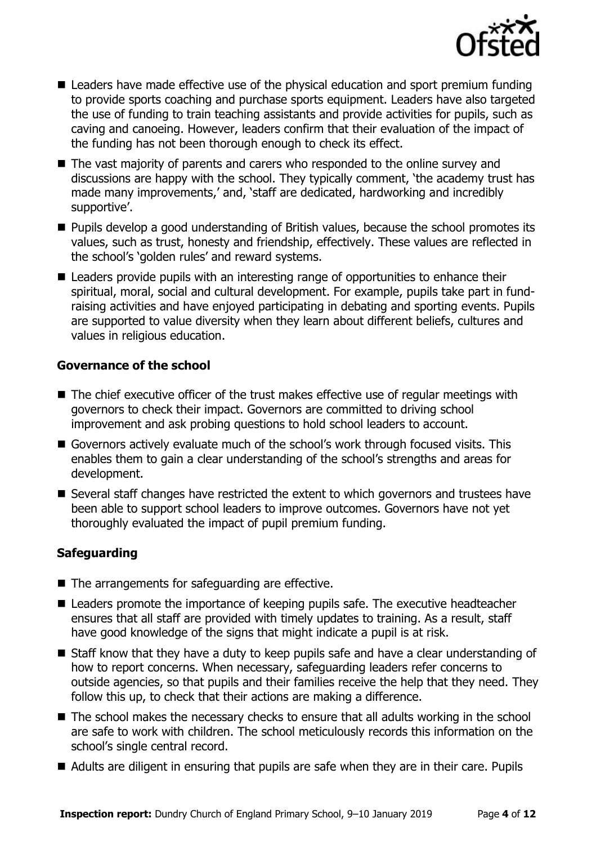

- Leaders have made effective use of the physical education and sport premium funding to provide sports coaching and purchase sports equipment. Leaders have also targeted the use of funding to train teaching assistants and provide activities for pupils, such as caving and canoeing. However, leaders confirm that their evaluation of the impact of the funding has not been thorough enough to check its effect.
- The vast majority of parents and carers who responded to the online survey and discussions are happy with the school. They typically comment, 'the academy trust has made many improvements,' and, 'staff are dedicated, hardworking and incredibly supportive'.
- **Pupils develop a good understanding of British values, because the school promotes its** values, such as trust, honesty and friendship, effectively. These values are reflected in the school's 'golden rules' and reward systems.
- Leaders provide pupils with an interesting range of opportunities to enhance their spiritual, moral, social and cultural development. For example, pupils take part in fundraising activities and have enjoyed participating in debating and sporting events. Pupils are supported to value diversity when they learn about different beliefs, cultures and values in religious education.

### **Governance of the school**

- The chief executive officer of the trust makes effective use of regular meetings with governors to check their impact. Governors are committed to driving school improvement and ask probing questions to hold school leaders to account.
- Governors actively evaluate much of the school's work through focused visits. This enables them to gain a clear understanding of the school's strengths and areas for development.
- Several staff changes have restricted the extent to which governors and trustees have been able to support school leaders to improve outcomes. Governors have not yet thoroughly evaluated the impact of pupil premium funding.

### **Safeguarding**

- $\blacksquare$  The arrangements for safeguarding are effective.
- Leaders promote the importance of keeping pupils safe. The executive headteacher ensures that all staff are provided with timely updates to training. As a result, staff have good knowledge of the signs that might indicate a pupil is at risk.
- Staff know that they have a duty to keep pupils safe and have a clear understanding of how to report concerns. When necessary, safeguarding leaders refer concerns to outside agencies, so that pupils and their families receive the help that they need. They follow this up, to check that their actions are making a difference.
- The school makes the necessary checks to ensure that all adults working in the school are safe to work with children. The school meticulously records this information on the school's single central record.
- Adults are diligent in ensuring that pupils are safe when they are in their care. Pupils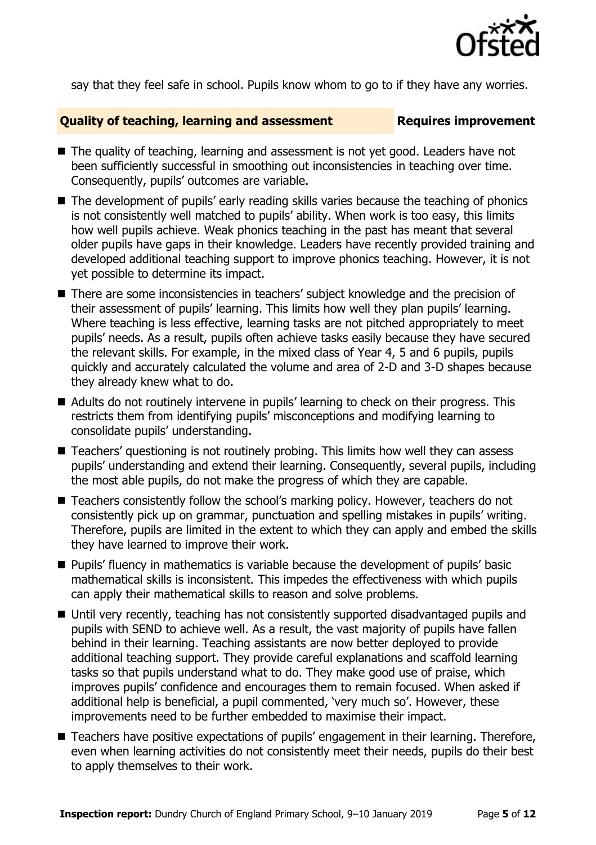

say that they feel safe in school. Pupils know whom to go to if they have any worries.

#### **Quality of teaching, learning and assessment Fig. 2.1 Requires improvement**

- The quality of teaching, learning and assessment is not yet good. Leaders have not been sufficiently successful in smoothing out inconsistencies in teaching over time. Consequently, pupils' outcomes are variable.
- The development of pupils' early reading skills varies because the teaching of phonics is not consistently well matched to pupils' ability. When work is too easy, this limits how well pupils achieve. Weak phonics teaching in the past has meant that several older pupils have gaps in their knowledge. Leaders have recently provided training and developed additional teaching support to improve phonics teaching. However, it is not yet possible to determine its impact.
- There are some inconsistencies in teachers' subject knowledge and the precision of their assessment of pupils' learning. This limits how well they plan pupils' learning. Where teaching is less effective, learning tasks are not pitched appropriately to meet pupils' needs. As a result, pupils often achieve tasks easily because they have secured the relevant skills. For example, in the mixed class of Year 4, 5 and 6 pupils, pupils quickly and accurately calculated the volume and area of 2-D and 3-D shapes because they already knew what to do.
- Adults do not routinely intervene in pupils' learning to check on their progress. This restricts them from identifying pupils' misconceptions and modifying learning to consolidate pupils' understanding.
- Teachers' questioning is not routinely probing. This limits how well they can assess pupils' understanding and extend their learning. Consequently, several pupils, including the most able pupils, do not make the progress of which they are capable.
- Teachers consistently follow the school's marking policy. However, teachers do not consistently pick up on grammar, punctuation and spelling mistakes in pupils' writing. Therefore, pupils are limited in the extent to which they can apply and embed the skills they have learned to improve their work.
- **Pupils' fluency in mathematics is variable because the development of pupils' basic** mathematical skills is inconsistent. This impedes the effectiveness with which pupils can apply their mathematical skills to reason and solve problems.
- Until very recently, teaching has not consistently supported disadvantaged pupils and pupils with SEND to achieve well. As a result, the vast majority of pupils have fallen behind in their learning. Teaching assistants are now better deployed to provide additional teaching support. They provide careful explanations and scaffold learning tasks so that pupils understand what to do. They make good use of praise, which improves pupils' confidence and encourages them to remain focused. When asked if additional help is beneficial, a pupil commented, 'very much so'. However, these improvements need to be further embedded to maximise their impact.
- Teachers have positive expectations of pupils' engagement in their learning. Therefore, even when learning activities do not consistently meet their needs, pupils do their best to apply themselves to their work.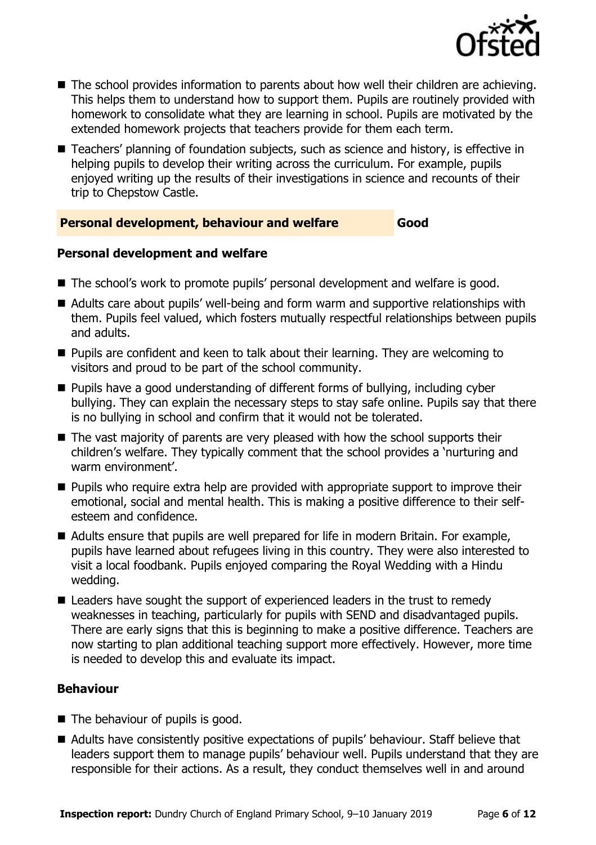

- The school provides information to parents about how well their children are achieving. This helps them to understand how to support them. Pupils are routinely provided with homework to consolidate what they are learning in school. Pupils are motivated by the extended homework projects that teachers provide for them each term.
- Teachers' planning of foundation subjects, such as science and history, is effective in helping pupils to develop their writing across the curriculum. For example, pupils enjoyed writing up the results of their investigations in science and recounts of their trip to Chepstow Castle.

### **Personal development, behaviour and welfare Good**

#### **Personal development and welfare**

- The school's work to promote pupils' personal development and welfare is good.
- Adults care about pupils' well-being and form warm and supportive relationships with them. Pupils feel valued, which fosters mutually respectful relationships between pupils and adults.
- **Pupils are confident and keen to talk about their learning. They are welcoming to** visitors and proud to be part of the school community.
- Pupils have a good understanding of different forms of bullying, including cyber bullying. They can explain the necessary steps to stay safe online. Pupils say that there is no bullying in school and confirm that it would not be tolerated.
- $\blacksquare$  The vast majority of parents are very pleased with how the school supports their children's welfare. They typically comment that the school provides a 'nurturing and warm environment'.
- **Pupils who require extra help are provided with appropriate support to improve their** emotional, social and mental health. This is making a positive difference to their selfesteem and confidence.
- Adults ensure that pupils are well prepared for life in modern Britain. For example, pupils have learned about refugees living in this country. They were also interested to visit a local foodbank. Pupils enjoyed comparing the Royal Wedding with a Hindu wedding.
- Leaders have sought the support of experienced leaders in the trust to remedy weaknesses in teaching, particularly for pupils with SEND and disadvantaged pupils. There are early signs that this is beginning to make a positive difference. Teachers are now starting to plan additional teaching support more effectively. However, more time is needed to develop this and evaluate its impact.

### **Behaviour**

- $\blacksquare$  The behaviour of pupils is good.
- Adults have consistently positive expectations of pupils' behaviour. Staff believe that leaders support them to manage pupils' behaviour well. Pupils understand that they are responsible for their actions. As a result, they conduct themselves well in and around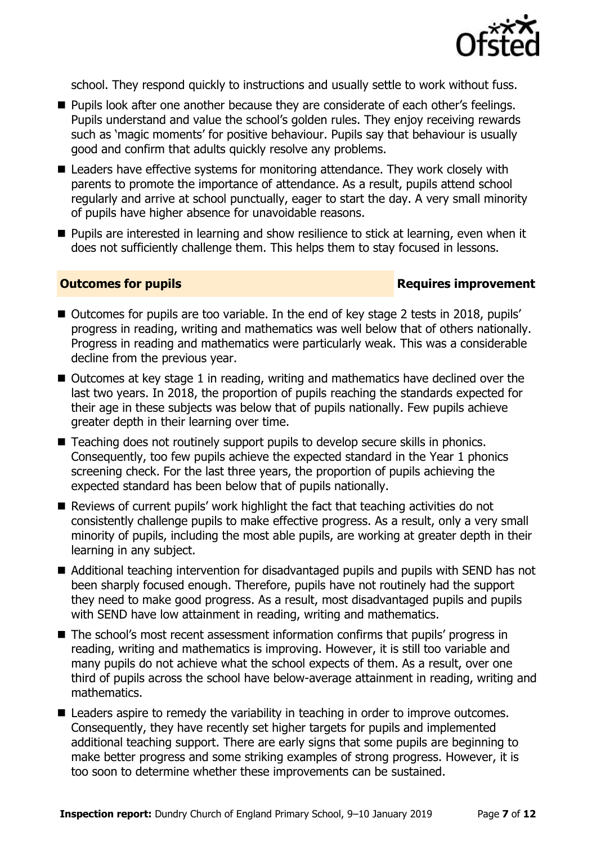

school. They respond quickly to instructions and usually settle to work without fuss.

- Pupils look after one another because they are considerate of each other's feelings. Pupils understand and value the school's golden rules. They enjoy receiving rewards such as 'magic moments' for positive behaviour. Pupils say that behaviour is usually good and confirm that adults quickly resolve any problems.
- Leaders have effective systems for monitoring attendance. They work closely with parents to promote the importance of attendance. As a result, pupils attend school regularly and arrive at school punctually, eager to start the day. A very small minority of pupils have higher absence for unavoidable reasons.
- **Pupils are interested in learning and show resilience to stick at learning, even when it** does not sufficiently challenge them. This helps them to stay focused in lessons.

#### **Outcomes for pupils Requires improvement**

- Outcomes for pupils are too variable. In the end of key stage 2 tests in 2018, pupils' progress in reading, writing and mathematics was well below that of others nationally. Progress in reading and mathematics were particularly weak. This was a considerable decline from the previous year.
- Outcomes at key stage 1 in reading, writing and mathematics have declined over the last two years. In 2018, the proportion of pupils reaching the standards expected for their age in these subjects was below that of pupils nationally. Few pupils achieve greater depth in their learning over time.
- Teaching does not routinely support pupils to develop secure skills in phonics. Consequently, too few pupils achieve the expected standard in the Year 1 phonics screening check. For the last three years, the proportion of pupils achieving the expected standard has been below that of pupils nationally.
- Reviews of current pupils' work highlight the fact that teaching activities do not consistently challenge pupils to make effective progress. As a result, only a very small minority of pupils, including the most able pupils, are working at greater depth in their learning in any subject.
- Additional teaching intervention for disadvantaged pupils and pupils with SEND has not been sharply focused enough. Therefore, pupils have not routinely had the support they need to make good progress. As a result, most disadvantaged pupils and pupils with SEND have low attainment in reading, writing and mathematics.
- The school's most recent assessment information confirms that pupils' progress in reading, writing and mathematics is improving. However, it is still too variable and many pupils do not achieve what the school expects of them. As a result, over one third of pupils across the school have below-average attainment in reading, writing and mathematics.
- Leaders aspire to remedy the variability in teaching in order to improve outcomes. Consequently, they have recently set higher targets for pupils and implemented additional teaching support. There are early signs that some pupils are beginning to make better progress and some striking examples of strong progress. However, it is too soon to determine whether these improvements can be sustained.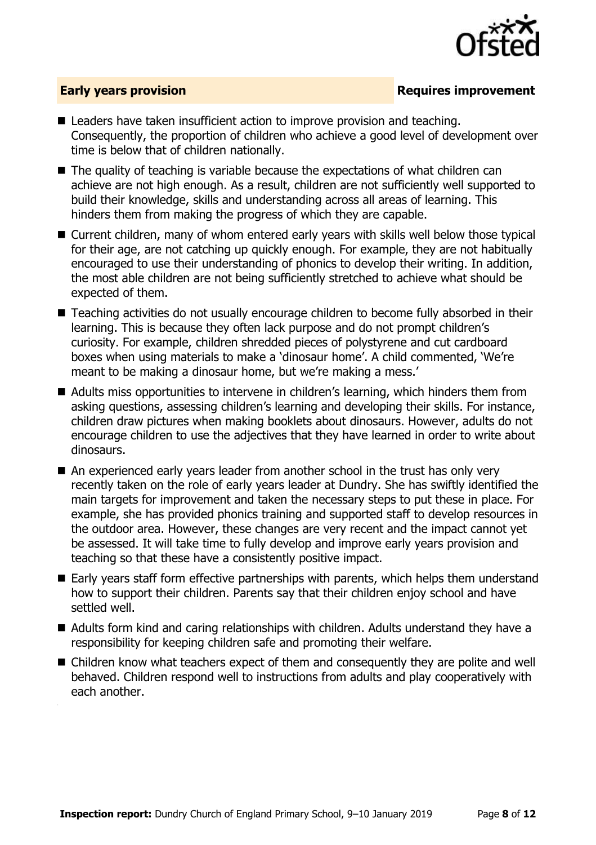

### **Early years provision**

- Leaders have taken insufficient action to improve provision and teaching. Consequently, the proportion of children who achieve a good level of development over time is below that of children nationally.
- The quality of teaching is variable because the expectations of what children can achieve are not high enough. As a result, children are not sufficiently well supported to build their knowledge, skills and understanding across all areas of learning. This hinders them from making the progress of which they are capable.
- Current children, many of whom entered early years with skills well below those typical for their age, are not catching up quickly enough. For example, they are not habitually encouraged to use their understanding of phonics to develop their writing. In addition, the most able children are not being sufficiently stretched to achieve what should be expected of them.
- Teaching activities do not usually encourage children to become fully absorbed in their learning. This is because they often lack purpose and do not prompt children's curiosity. For example, children shredded pieces of polystyrene and cut cardboard boxes when using materials to make a 'dinosaur home'. A child commented, 'We're meant to be making a dinosaur home, but we're making a mess.'
- Adults miss opportunities to intervene in children's learning, which hinders them from asking questions, assessing children's learning and developing their skills. For instance, children draw pictures when making booklets about dinosaurs. However, adults do not encourage children to use the adjectives that they have learned in order to write about dinosaurs.
- An experienced early years leader from another school in the trust has only very recently taken on the role of early years leader at Dundry. She has swiftly identified the main targets for improvement and taken the necessary steps to put these in place. For example, she has provided phonics training and supported staff to develop resources in the outdoor area. However, these changes are very recent and the impact cannot yet be assessed. It will take time to fully develop and improve early years provision and teaching so that these have a consistently positive impact.
- Early years staff form effective partnerships with parents, which helps them understand how to support their children. Parents say that their children enjoy school and have settled well.
- Adults form kind and caring relationships with children. Adults understand they have a responsibility for keeping children safe and promoting their welfare.
- Children know what teachers expect of them and consequently they are polite and well behaved. Children respond well to instructions from adults and play cooperatively with each another.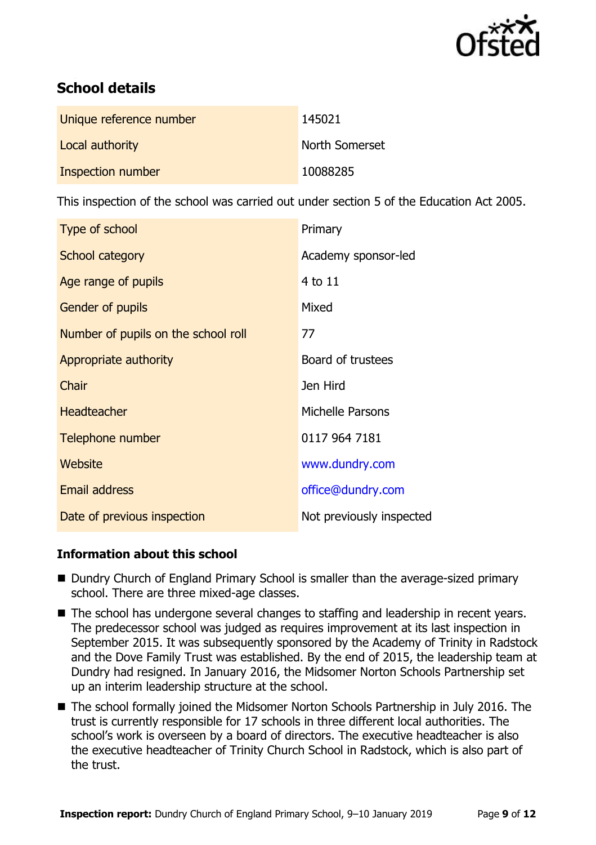

# **School details**

| Unique reference number | 145021         |
|-------------------------|----------------|
| Local authority         | North Somerset |
| Inspection number       | 10088285       |

This inspection of the school was carried out under section 5 of the Education Act 2005.

| <b>Type of school</b>               | Primary                  |
|-------------------------------------|--------------------------|
| School category                     | Academy sponsor-led      |
| Age range of pupils                 | 4 to 11                  |
| <b>Gender of pupils</b>             | Mixed                    |
| Number of pupils on the school roll | 77                       |
| Appropriate authority               | Board of trustees        |
| Chair                               | Jen Hird                 |
| <b>Headteacher</b>                  | Michelle Parsons         |
| Telephone number                    | 0117 964 7181            |
| Website                             | www.dundry.com           |
| <b>Email address</b>                | office@dundry.com        |
| Date of previous inspection         | Not previously inspected |

### **Information about this school**

- Dundry Church of England Primary School is smaller than the average-sized primary school. There are three mixed-age classes.
- The school has undergone several changes to staffing and leadership in recent years. The predecessor school was judged as requires improvement at its last inspection in September 2015. It was subsequently sponsored by the Academy of Trinity in Radstock and the Dove Family Trust was established. By the end of 2015, the leadership team at Dundry had resigned. In January 2016, the Midsomer Norton Schools Partnership set up an interim leadership structure at the school.
- The school formally joined the Midsomer Norton Schools Partnership in July 2016. The trust is currently responsible for 17 schools in three different local authorities. The school's work is overseen by a board of directors. The executive headteacher is also the executive headteacher of Trinity Church School in Radstock, which is also part of the trust.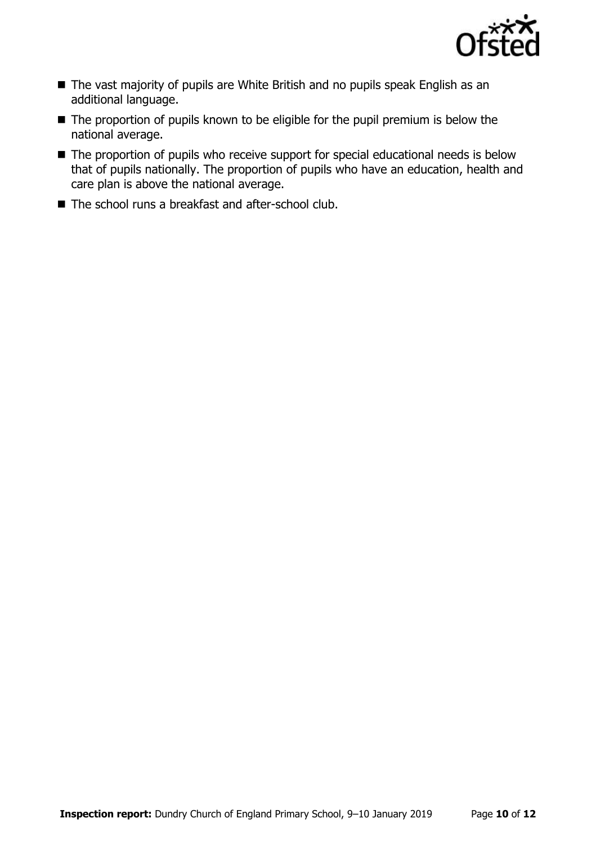

- The vast majority of pupils are White British and no pupils speak English as an additional language.
- The proportion of pupils known to be eligible for the pupil premium is below the national average.
- The proportion of pupils who receive support for special educational needs is below that of pupils nationally. The proportion of pupils who have an education, health and care plan is above the national average.
- The school runs a breakfast and after-school club.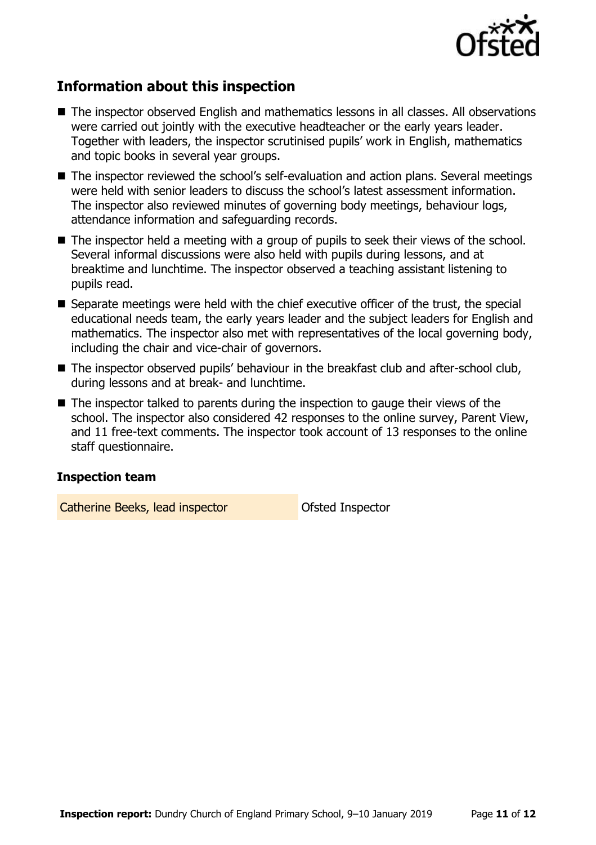

# **Information about this inspection**

- The inspector observed English and mathematics lessons in all classes. All observations were carried out jointly with the executive headteacher or the early years leader. Together with leaders, the inspector scrutinised pupils' work in English, mathematics and topic books in several year groups.
- The inspector reviewed the school's self-evaluation and action plans. Several meetings were held with senior leaders to discuss the school's latest assessment information. The inspector also reviewed minutes of governing body meetings, behaviour logs, attendance information and safeguarding records.
- The inspector held a meeting with a group of pupils to seek their views of the school. Several informal discussions were also held with pupils during lessons, and at breaktime and lunchtime. The inspector observed a teaching assistant listening to pupils read.
- Separate meetings were held with the chief executive officer of the trust, the special educational needs team, the early years leader and the subject leaders for English and mathematics. The inspector also met with representatives of the local governing body, including the chair and vice-chair of governors.
- The inspector observed pupils' behaviour in the breakfast club and after-school club, during lessons and at break- and lunchtime.
- $\blacksquare$  The inspector talked to parents during the inspection to gauge their views of the school. The inspector also considered 42 responses to the online survey, Parent View, and 11 free-text comments. The inspector took account of 13 responses to the online staff questionnaire.

### **Inspection team**

Catherine Beeks, lead inspector **Catherine Beeks**, lead inspector